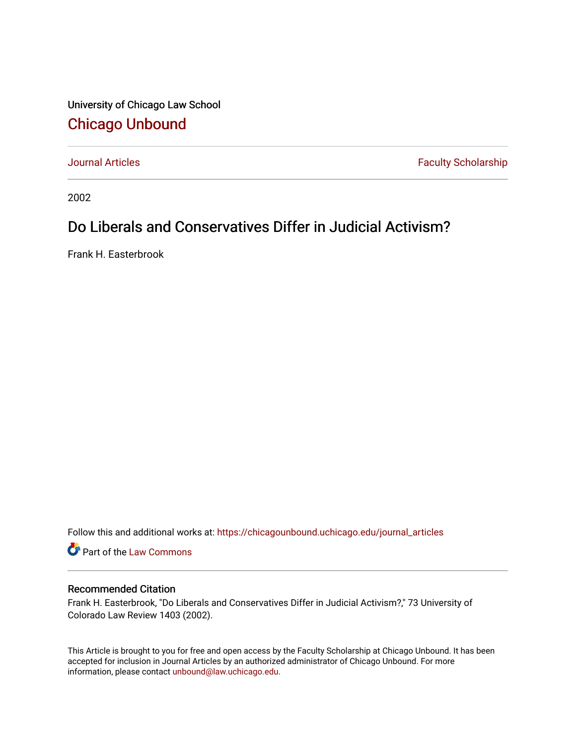University of Chicago Law School [Chicago Unbound](https://chicagounbound.uchicago.edu/)

[Journal Articles](https://chicagounbound.uchicago.edu/journal_articles) **Faculty Scholarship Faculty Scholarship** 

2002

# Do Liberals and Conservatives Differ in Judicial Activism?

Frank H. Easterbrook

Follow this and additional works at: [https://chicagounbound.uchicago.edu/journal\\_articles](https://chicagounbound.uchicago.edu/journal_articles?utm_source=chicagounbound.uchicago.edu%2Fjournal_articles%2F1136&utm_medium=PDF&utm_campaign=PDFCoverPages) 

**C** Part of the [Law Commons](http://network.bepress.com/hgg/discipline/578?utm_source=chicagounbound.uchicago.edu%2Fjournal_articles%2F1136&utm_medium=PDF&utm_campaign=PDFCoverPages)

## Recommended Citation

Frank H. Easterbrook, "Do Liberals and Conservatives Differ in Judicial Activism?," 73 University of Colorado Law Review 1403 (2002).

This Article is brought to you for free and open access by the Faculty Scholarship at Chicago Unbound. It has been accepted for inclusion in Journal Articles by an authorized administrator of Chicago Unbound. For more information, please contact [unbound@law.uchicago.edu](mailto:unbound@law.uchicago.edu).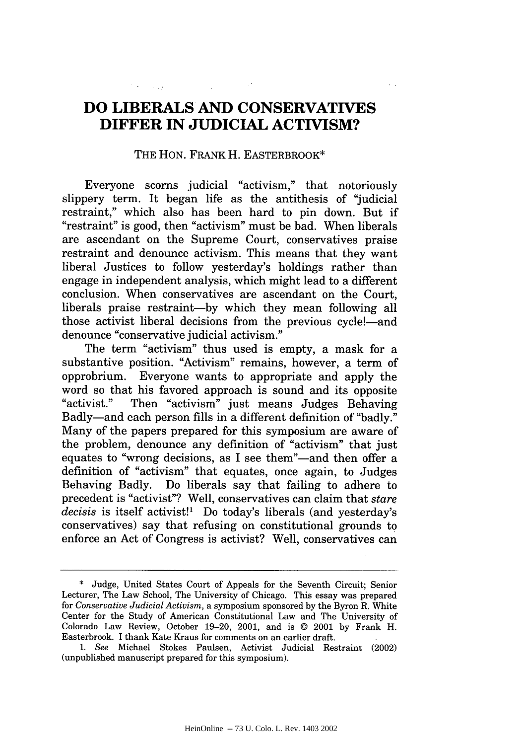# **DO LIBERALS AND CONSERVATIVES DIFFER IN JUDICIAL ACTIVISM?**

#### THE **HON.** FRANK H. EASTERBROOK\*

Everyone scorns judicial "activism," that notoriously slippery term. It began life as the antithesis of "judicial restraint," which also has been hard to pin down. But if "restraint" is good, then "activism" must be bad. When liberals are ascendant on the Supreme Court, conservatives praise restraint and denounce activism. This means that they want liberal Justices to follow yesterday's holdings rather than engage in independent analysis, which might lead to a different conclusion. When conservatives are ascendant on the Court, liberals praise restraint-by which they mean following all those activist liberal decisions from the previous cycle!—and denounce "conservative judicial activism."

The term "activism" thus used is empty, a mask for a substantive position. "Activism" remains, however, a term of opprobrium. Everyone wants to appropriate and apply the word so that his favored approach is sound and its opposite "activist." Then "activism" just means Judges Behaving Badly-and each person fills in a different definition of "badly." Many of the papers prepared for this symposium are aware of the problem, denounce any definition of "activism" that just equates to "wrong decisions, as I see them"—and then offer a definition of "activism" that equates, once again, to Judges Behaving Badly. Do liberals say that failing to adhere to precedent is "activist"? Well, conservatives can claim that *stare decisis* is itself activist!1 Do today's liberals (and yesterday's conservatives) say that refusing on constitutional grounds to enforce an Act of Congress is activist? Well, conservatives can

<sup>\*</sup> Judge, United States Court of Appeals for the Seventh Circuit; Senior Lecturer, The Law School, The University of Chicago. This essay was prepared for *Conservative Judicial Activism,* a symposium sponsored by the Byron R. White Center for the Study of American Constitutional Law and The University of Colorado Law Review, October 19-20, 2001, and is © 2001 by Frank H. Easterbrook. I thank Kate Kraus for comments on an earlier draft.

*<sup>1.</sup> See* Michael Stokes Paulsen, Activist Judicial Restraint (2002) (unpublished manuscript prepared for this symposium).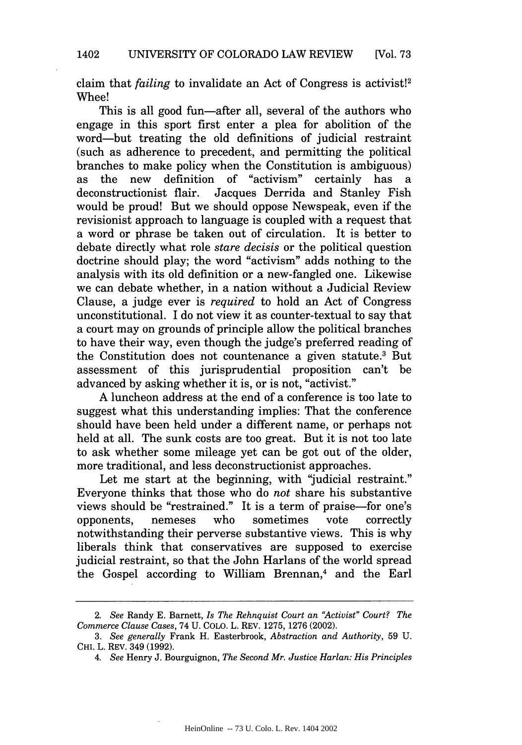claim that *failing* to invalidate an Act of Congress is activist!2 Whee!

This is all good fun—after all, several of the authors who engage in this sport first enter a plea for abolition of the word-but treating the old definitions of judicial restraint (such as adherence to precedent, and permitting the political branches to make policy when the Constitution is ambiguous) as the new definition of "activism" certainly has a deconstructionist flair. Jacques Derrida and Stanley Fish would be proud! But we should oppose Newspeak, even if the revisionist approach to language is coupled with a request that a word or phrase be taken out of circulation. It is better to debate directly what role *stare decisis* or the political question doctrine should play; the word "activism" adds nothing to the analysis with its old definition or a new-fangled one. Likewise we can debate whether, in a nation without a Judicial Review Clause, a judge ever is *required* to hold an Act of Congress unconstitutional. I do not view it as counter-textual to say that a court may on grounds of principle allow the political branches to have their way, even though the judge's preferred reading of the Constitution does not countenance a given statute.3 But assessment of this jurisprudential proposition can't be advanced by asking whether it is, or is not, "activist."

A luncheon address at the end of a conference is too late to suggest what this understanding implies: That the conference should have been held under a different name, or perhaps not held at all. The sunk costs are too great. But it is not too late to ask whether some mileage yet can be got out of the older, more traditional, and less deconstructionist approaches.

Let me start at the beginning, with "judicial restraint." Everyone thinks that those who do *not* share his substantive views should be "restrained." It is a term of praise-for one's opponents, nemeses who sometimes vote correctly notwithstanding their perverse substantive views. This is why liberals think that conservatives are supposed to exercise judicial restraint, so that the John Harlans of the world spread the Gospel according to William Brennan,<sup>4</sup> and the Earl

*<sup>2.</sup> See* Randy E. Barnett, *Is The Rehnquist Court an "Activist" Court? The Commerce Clause Cases,* 74 U. COLO. L. REV. 1275, 1276 (2002).

*<sup>3.</sup> See generally* Frank H. Easterbrook, *Abstraction and Authority,* 59 U. CHI. L. REV. 349 (1992).

*<sup>4.</sup> See* Henry J. Bourguignon, *The Second Mr. Justice Harlan: His Principles*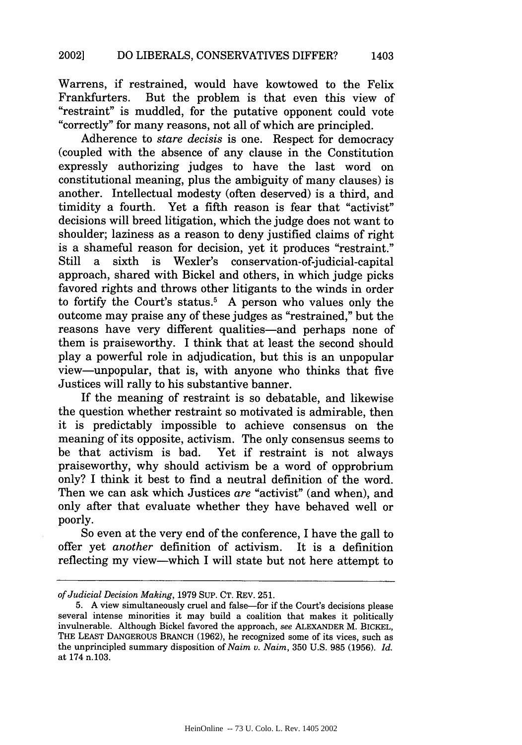Warrens, if restrained, would have kowtowed to the Felix Frankfurters. But the problem is that even this view of "restraint" is muddled, for the putative opponent could vote "correctly" for many reasons, not all of which are principled.

Adherence to *stare decisis* is one. Respect for democracy (coupled with the absence of any clause in the Constitution expressly authorizing judges to have the last word on constitutional meaning, plus the ambiguity of many clauses) is another. Intellectual modesty (often deserved) is a third, and timidity a fourth. Yet a fifth reason is fear that "activist" decisions will breed litigation, which the judge does not want to shoulder; laziness as a reason to deny justified claims of right is a shameful reason for decision, yet it produces "restraint." a sixth is Wexler's conservation-of-judicial-capital approach, shared with Bickel and others, in which judge picks favored rights and throws other litigants to the winds in order to fortify the Court's status.<sup>5</sup> A person who values only the outcome may praise any of these judges as "restrained," but the reasons have very different qualities—and perhaps none of them is praiseworthy. I think that at least the second should play a powerful role in adjudication, but this is an unpopular view-unpopular, that is, with anyone who thinks that five Justices will rally to his substantive banner.

If the meaning of restraint is so debatable, and likewise the question whether restraint so motivated is admirable, then it is predictably impossible to achieve consensus on the meaning of its opposite, activism. The only consensus seems to be that activism is bad. Yet if restraint is not always praiseworthy, why should activism be a word of opprobrium only? I think it best to find a neutral definition of the word. Then we can ask which Justices *are* "activist" (and when), and only after that evaluate whether they have behaved well or poorly.

So even at the very end of the conference, I have the gall to offer yet *another* definition of activism. It is a definition reflecting my view-which I will state but not here attempt to

*of Judicial Decision Making,* 1979 SUP. CT. REV. 251.

<sup>5.</sup> A view simultaneously cruel and false-for if the Court's decisions please several intense minorities it may build a coalition that makes it politically invulnerable. Although Bickel favored the approach, *see* ALEXANDER M. BICKEL, THE LEAST DANGEROUS BRANCH (1962), he recognized some of its vices, such as the unprincipled summary disposition of *Naim v. Naim,* 350 U.S. 985 (1956). *Id.* at 174 n.103.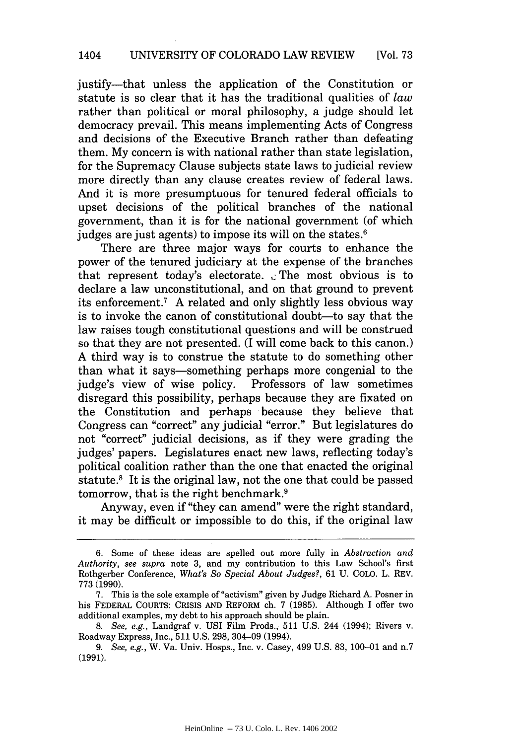justify-that unless the application of the Constitution or statute is so clear that it has the traditional qualities of *law* rather than political or moral philosophy, a judge should let democracy prevail. This means implementing Acts of Congress and decisions of the Executive Branch rather than defeating them. My concern is with national rather than state legislation, for the Supremacy Clause subjects state laws to judicial review more directly than any clause creates review of federal laws. And it is more presumptuous for tenured federal officials to upset decisions of the political branches of the national government, than it is for the national government (of which judges are just agents) to impose its will on the states.<sup>6</sup>

There are three major ways for courts to enhance the power of the tenured judiciary at the expense of the branches that represent today's electorate.  $\therefore$  The most obvious is to declare a law unconstitutional, and on that ground to prevent its enforcement.' A related and only slightly less obvious way is to invoke the canon of constitutional doubt—to say that the law raises tough constitutional questions and will be construed so that they are not presented. (I will come back to this canon.) A third way is to construe the statute to do something other than what it says-something perhaps more congenial to the judge's view of wise policy. Professors of law sometimes disregard this possibility, perhaps because they are fixated on the Constitution and perhaps because they believe that Congress can "correct" any judicial "error." But legislatures do not "correct" judicial decisions, as if they were grading the judges' papers. Legislatures enact new laws, reflecting today's political coalition rather than the one that enacted the original statute.8 It is the original law, not the one that could be passed tomorrow, that is the right benchmark.<sup>9</sup>

Anyway, even if "they can amend" were the right standard, it may be difficult or impossible to do this, if the original law

<sup>6.</sup> Some of these ideas are spelled out more fully in *Abstraction and Authority, see supra* note 3, and my contribution to this Law School's first Rothgerber Conference, *What's So Special About Judges?,* 61 U. COLO. L. REV. 773 (1990).

<sup>7.</sup> This is the sole example of "activism" given by Judge Richard A. Posner in his FEDERAL COURTS: CRISIS **AND** REFORM ch. 7 (1985). Although I offer two additional examples, my debt to his approach should be plain.

*<sup>8.</sup> See, e.g.,* Landgraf v. USI Film Prods., 511 U.S. 244 (1994); Rivers v. Roadway Express, Inc., 511 U.S. 298, 304-09 (1994).

*<sup>9.</sup> See, e.g.,* W. Va. Univ. Hosps., Inc. v. Casey, 499 U.S. 83, 100-01 and n.7 (1991).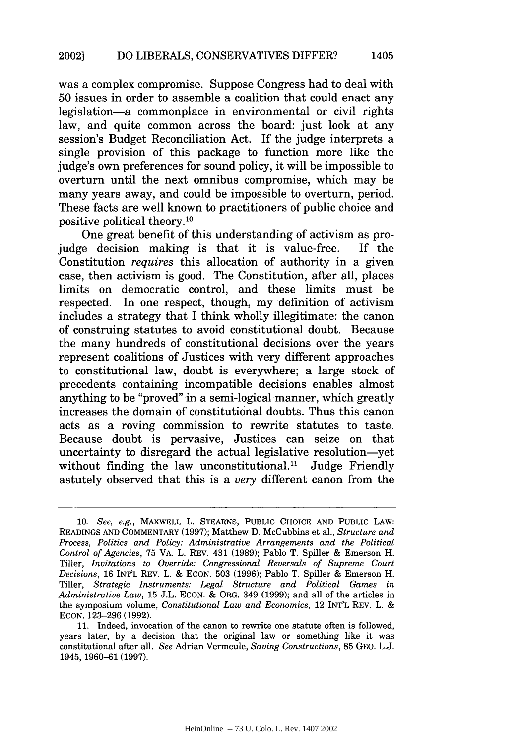was a complex compromise. Suppose Congress had to deal with 50 issues in order to assemble a coalition that could enact any legislation-a commonplace in environmental or civil rights law, and quite common across the board: just look at any session's Budget Reconciliation Act. If the judge interprets a single provision of this package to function more like the judge's own preferences for sound policy, it will be impossible to overturn until the next omnibus compromise, which may be many years away, and could be impossible to overturn, period. These facts are well known to practitioners of public choice and positive political theory. <sup>10</sup>

One great benefit of this understanding of activism as projudge decision making is that it is value-free. If the Constitution *requires* this allocation of authority in a given case, then activism is good. The Constitution, after all, places limits on democratic control, and these limits must be respected. In one respect, though, my definition of activism includes a strategy that I think wholly illegitimate: the canon of construing statutes to avoid constitutional doubt. Because the many hundreds of constitutional decisions over the years represent coalitions of Justices with very different approaches to constitutional law, doubt is everywhere; a large stock of precedents containing incompatible decisions enables almost anything to be "proved" in a semi-logical manner, which greatly increases the domain of constitutional doubts. Thus this canon acts as a roving commission to rewrite statutes to taste. Because doubt is pervasive, Justices can seize on that uncertainty to disregard the actual legislative resolution-yet without finding the law unconstitutional.<sup>11</sup> Judge Friendly astutely observed that this is a *very* different canon from the

<sup>10.</sup> *See, e.g.,* MAXWELL L. STEARNS, PUBLIC CHOICE AND PUBLIC LAW: READINGS AND COMMENTARY (1997); Matthew D. McCubbins et al., *Structure and Process, Politics and Policy: Administrative Arrangements and the Political Control of Agencies,* 75 VA. L. REv. 431 (1989); Pablo T. Spiller & Emerson H. Tiller, *Invitations to Override: Congressional Reversals of Supreme Court Decisions,* 16 INT'L REV. L. & ECON. 503 (1996); Pablo T. Spiller & Emerson H. Tiller, *Strategic Instruments: Legal Structure and Political Games in Administrative Law,* 15 J.L. ECON. & ORG. 349 (1999); and all of the articles in the symposium volume, *Constitutional Law and Economics,* 12 INT'L REV. L. & ECON. 123-296 (1992).

<sup>11.</sup> Indeed, invocation of the canon to rewrite one statute often is followed, years later, by a decision that the original law or something like it was constitutional after all. *See* Adrian Vermeule, *Saving Constructions,* 85 GEO. L.J. 1945, 1960-61 (1997).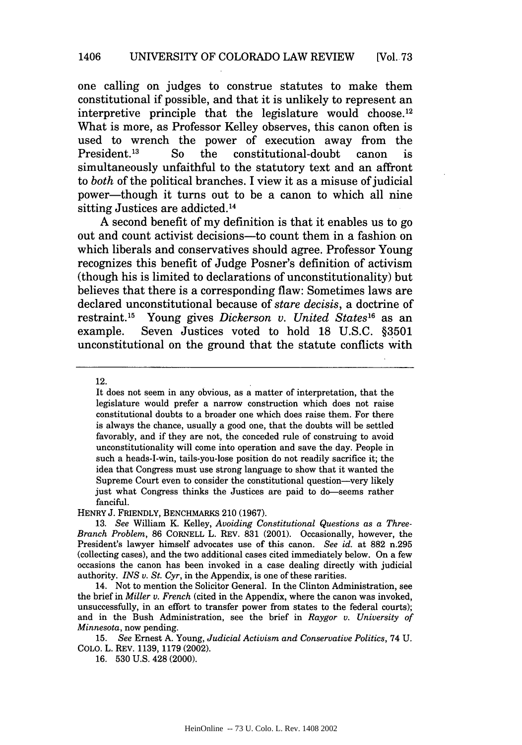one calling on judges to construe statutes to make them constitutional if possible, and that it is unlikely to represent an interpretive principle that the legislature would choose.<sup>12</sup> What is more, as Professor Kelley observes, this canon often is used to wrench the power of execution away from the<br>President.<sup>13</sup> So the constitutional-doubt canon is So the constitutional-doubt canon is simultaneously unfaithful to the statutory text and an affront to *both* of the political branches. I view it as a misuse of judicial power-though it turns out to be a canon to which all nine sitting Justices are addicted. <sup>14</sup>

A second benefit of my definition is that it enables us to go out and count activist decisions-to count them in a fashion on which liberals and conservatives should agree. Professor Young recognizes this benefit of Judge Posner's definition of activism (though his is limited to declarations of unconstitutionality) but believes that there is a corresponding flaw: Sometimes laws are declared unconstitutional because of *stare decisis,* a doctrine of restraint.<sup>15</sup> Young gives *Dickerson v. United States*<sup>16</sup> as an example. Seven Justices voted to hold 18 U.S.C. §3501 unconstitutional on the ground that the statute conflicts with

12.

It does not seem in any obvious, as a matter of interpretation, that the legislature would prefer a narrow construction which does not raise constitutional doubts to a broader one which does raise them. For there is always the chance, usually a good one, that the doubts will be settled favorably, and if they are not, the conceded rule of construing to avoid unconstitutionality will come into operation and save the day. People in such a heads-I-win, tails-you-lose position do not readily sacrifice it; the idea that Congress must use strong language to show that it wanted the Supreme Court even to consider the constitutional question—very likely just what Congress thinks the Justices are paid to do-seems rather fanciful.

HENRY J. FRIENDLY, BENCHMARKS 210 (1967).

15. *See* Ernest A. Young, *Judicial Activism and Conservative Politics,* 74 U. COLO. L. REV. 1139, 1179 (2002).

16. 530 U.S. 428 (2000).

<sup>13.</sup> *See* William K. Kelley, *Avoiding Constitutional Questions as a Three-Branch Problem,* 86 CORNELL L. REV. 831 (2001). Occasionally, however, the President's lawyer himself advocates use of this canon. *See id.* at 882 n.295 (collecting cases), and the two additional cases cited immediately below. On a few occasions the canon has been invoked in a case dealing directly with judicial authority. *INS v. St. Cyr,* in the Appendix, is one of these rarities.

<sup>14.</sup> Not to mention the Solicitor General. In the Clinton Administration, see the brief in *Miller v. French* (cited in the Appendix, where the canon was invoked, unsuccessfully, in an effort to transfer power from states to the federal courts); and in the Bush Administration, see the brief in *Raygor v. University of Minnesota,* now pending.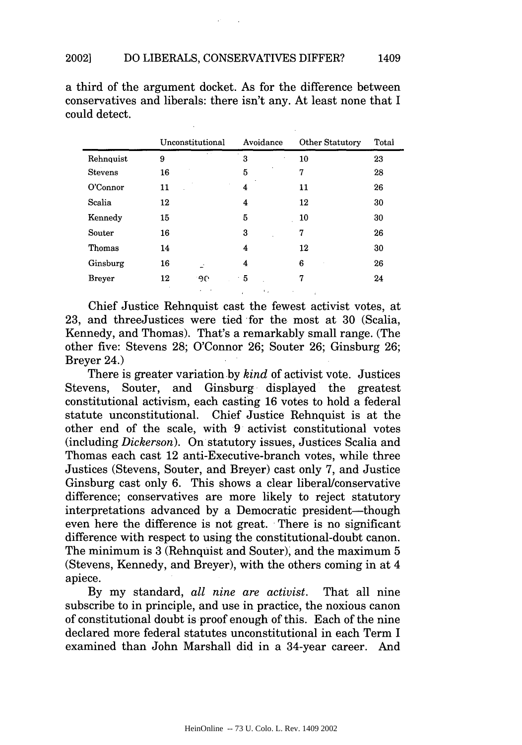a third of the argument docket. As for the difference between conservatives and liberals: there isn't any. At least none that I could detect.

|                |    | Unconstitutional | Avoidance               | <b>Other Statutory</b> | Total |
|----------------|----|------------------|-------------------------|------------------------|-------|
| Rehnquist      | 9  |                  | 3                       | 10                     | 23    |
| <b>Stevens</b> | 16 |                  | 5                       | 7                      | 28    |
| O'Connor       | 11 |                  | 4                       | 11                     | 26    |
| Scalia         | 12 |                  | 4                       | 12                     | 30    |
| Kennedy        | 15 |                  | 5                       | 10                     | 30    |
| Souter         | 16 |                  | 3                       | 7                      | 26    |
| Thomas         | 14 |                  | 4                       | 12                     | 30    |
| Ginsburg       | 16 |                  | 4                       | 6                      | 26    |
| <b>Breyer</b>  | 12 | -90              | - 5                     | 7                      | 24    |
|                |    | $\cdots$         | <b>Allen Commercial</b> |                        |       |

Chief Justice Rehnquist cast the fewest activist votes, at 23, and threeJustices were tied for the most at 30 (Scalia, Kennedy, and Thomas). That's a remarkably small range. (The other five: Stevens 28; O'Connor 26; Souter 26; Ginsburg 26; Breyer 24.)

There is greater variation by *kind* of activist vote. Justices Stevens, Souter, and Ginsburg displayed the greatest constitutional activism, each casting 16 votes to hold a federal statute unconstitutional. Chief Justice Rehnquist is at the other end of the scale, with 9 activist constitutional votes (including *Dickerson).* On statutory issues, Justices Scalia and Thomas each cast 12 anti-Executive-branch votes, while three Justices (Stevens, Souter, and Breyer) cast only 7, and Justice Ginsburg cast only 6. This shows a clear liberal/conservative difference; conservatives are more likely to reject statutory interpretations advanced by a Democratic president—though even here the difference is not great. There is no significant difference with respect to using the constitutional-doubt canon. The minimum is 3 (Rehnquist and Souter), and the maximum 5 (Stevens, Kennedy, and Breyer), with the others coming in at 4 apiece.

By my standard, *all nine are activist.* That all nine subscribe to in principle, and use in practice, the noxious canon of constitutional doubt is proof enough of this. Each of the nine declared more federal statutes unconstitutional in each Term I examined than John Marshall did in a 34-year career. And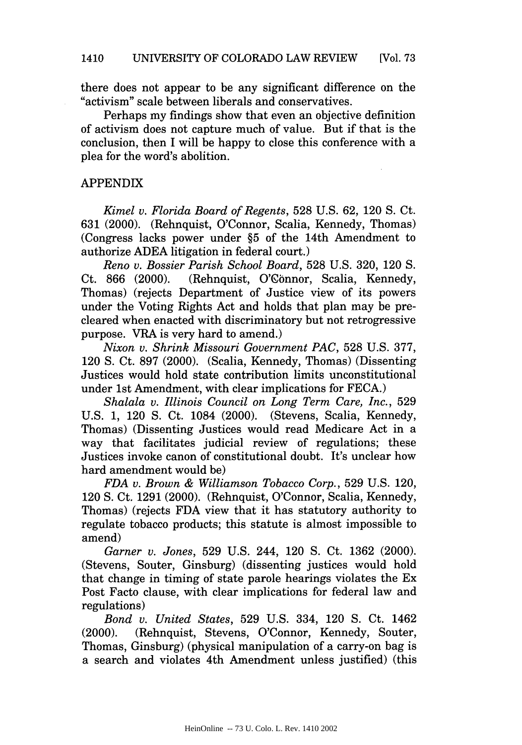there does not appear to be any significant difference on the "activism" scale between liberals and conservatives.

Perhaps my findings show that even an objective definition of activism does not capture much of value. But if that is the conclusion, then I will be happy to close this conference with a plea for the word's abolition.

## APPENDIX

*Kimel v. Florida Board of Regents,* 528 U.S. 62, 120 **S.** Ct. 631 (2000). (Rehnquist, O'Connor, Scalia, Kennedy, Thomas) (Congress lacks power under §5 of the 14th Amendment to authorize ADEA litigation in federal court.)

*Reno v. Bossier Parish School Board,* 528 U.S. 320, 120 S. Ct. 866 (2000). (Rehnquist, O'Connor, Scalia, Kennedy, Thomas) (rejects Department of Justice view of its powers under the Voting Rights Act and holds that plan may be precleared when enacted with discriminatory but not retrogressive purpose. VRA is very hard to amend.)

*Nixon v. Shrink Missouri Government PAC,* 528 U.S. 377, 120 **S.** Ct. 897 (2000). (Scalia, Kennedy, Thomas) (Dissenting Justices would hold state contribution limits unconstitutional under 1st Amendment, with clear implications for FECA.)

*Shalala v. Illinois Council on Long Term Care, Inc.,* 529 U.S. 1, 120 **S.** Ct. 1084 (2000). (Stevens, Scalia, Kennedy, Thomas) (Dissenting Justices would read Medicare Act in a way that facilitates judicial review of regulations; these Justices invoke canon of constitutional doubt. It's unclear how hard amendment would be)

*FDA v. Brown & Williamson Tobacco Corp.,* 529 U.S. 120, 120 **S.** Ct. 1291 (2000). (Rehnquist, O'Connor, Scalia, Kennedy, Thomas) (rejects FDA view that it has statutory authority to regulate tobacco products; this statute is almost impossible to amend)

*Garner v. Jones,* 529 U.S. 244, 120 **S.** Ct. 1362 (2000). (Stevens, Souter, Ginsburg) (dissenting justices would hold that change in timing of state parole hearings violates the Ex Post Facto clause, with clear implications for federal law and regulations)

*Bond v. United States,* 529 U.S. 334, 120 **S.** Ct. 1462 (2000). (Rehnquist, Stevens, O'Connor, Kennedy, Souter, Thomas, Ginsburg) (physical manipulation of a carry-on bag is a search and violates 4th Amendment unless justified) (this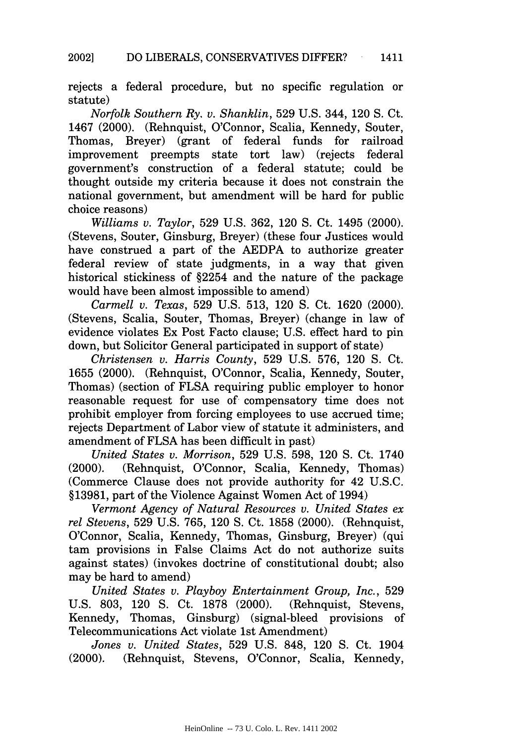rejects a federal procedure, but no specific regulation or statute)

*Norfolk Southern Ry. v. Shanklin,* 529 U.S. 344, 120 S. Ct. 1467 (2000). (Rehnquist, O'Connor, Scalia, Kennedy, Souter, Thomas, Breyer) (grant of federal funds for railroad improvement preempts state tort law) (rejects federal government's construction of a federal statute; could be thought outside my criteria because it does not constrain the national government, but amendment will be hard for public choice reasons)

*Williams v. Taylor,* 529 U.S. 362, 120 **S.** Ct. 1495 (2000). (Stevens, Souter, Ginsburg, Breyer) (these four Justices would have construed a part of the AEDPA to authorize greater federal review of state judgments, in a way that given historical stickiness of §2254 and the nature of the package would have been almost impossible to amend)

*Carmell v. Texas,* 529 U.S. 513, 120 **S.** Ct. 1620 (2000). (Stevens, Scalia, Souter, Thomas, Breyer) (change in law of evidence violates Ex Post Facto clause; U.S. effect hard to pin down, but Solicitor General participated in support of state)

*Christensen v. Harris County,* 529 U.S. 576, 120 **S.** Ct. 1655 (2000). (Rehnquist, O'Connor, Scalia, Kennedy, Souter, Thomas) (section of FLSA requiring public employer to honor reasonable request for use of compensatory time does not prohibit employer from forcing employees to use accrued time; rejects Department of Labor view of statute it administers, and amendment of FLSA has been difficult in past)

*United States v. Morrison,* 529 U.S. 598, 120 S. Ct. 1740 (2000). (Rehnquist, O'Connor, Scalia, Kennedy, Thomas) (Commerce Clause does not provide authority for 42 U.S.C. §13981, part of the Violence Against Women Act of 1994)

*Vermont Agency of Natural Resources v. United States ex rel Stevens,* 529 U.S. 765, 120 S. Ct. 1858 (2000). (Rehnquist, O'Connor, Scalia, Kennedy, Thomas, Ginsburg, Breyer) (qui tam provisions in False Claims Act do not authorize suits against states) (invokes doctrine of constitutional doubt; also may be hard to amend)

*United States v. Playboy Entertainment Group, Inc.,* 529 U.S. 803, 120 **S.** Ct. 1878 (2000). (Rehnquist, Stevens, Kennedy, Thomas, Ginsburg) (signal-bleed provisions of Telecommunications Act violate 1st Amendment)

*Jones v. United States,* 529 U.S. 848, 120 **S.** Ct. 1904 (2000). (Rehnquist, Stevens, O'Connor, Scalia, Kennedy,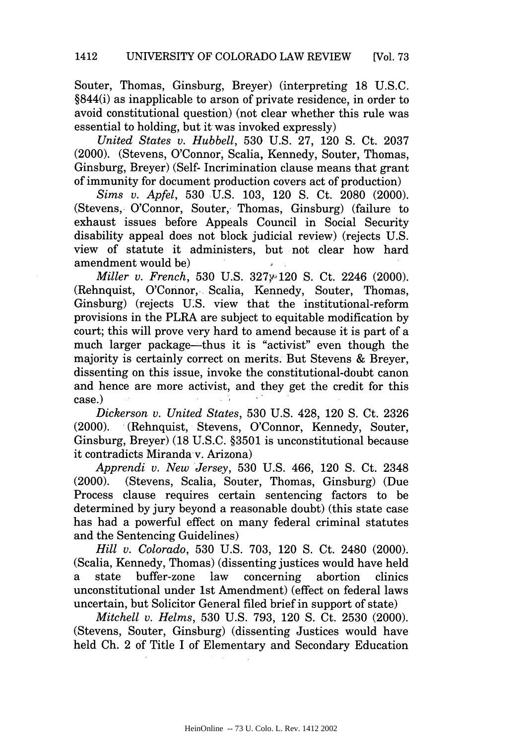Souter, Thomas, Ginsburg, Breyer) (interpreting 18 U.S.C. §844(i) as inapplicable to arson of private residence, in order to avoid constitutional question) (not clear whether this rule was essential to holding, but it was invoked expressly)

*United States v. Hubbell,* 530 U.S. 27, 120 **S.** Ct. 2037 (2000). (Stevens, O'Connor, Scalia, Kennedy, Souter, Thomas, Ginsburg, Breyer) (Self- Incrimination clause means that grant of immunity for document production covers act of production)

*Sims v. Apfel,* 530 U.S. 103, 120 **S.** Ct. 2080 (2000). (Stevens, O'Connor, Souter, Thomas, Ginsburg) (failure to exhaust issues before Appeals Council in Social Security disability appeal does not block judicial review) (rejects U.S. view of statute it administers, but not clear how hard amendment would be)

*Miller v. French, 530 U.S. 327y*<sup>120</sup> S. Ct. 2246 (2000). (Rehnquist, O'Connor, Scalia, Kennedy, Souter, Thomas, Ginsburg) (rejects U.S. view that the institutional-reform provisions in the PLRA are subject to equitable modification by court; this will prove very hard to amend because it is part of a much larger package—thus it is "activist" even though the majority is certainly correct on merits. But Stevens & Breyer, dissenting on this issue, invoke the constitutional-doubt canon and hence are more activist, and they get the credit for this case.)

*Dickerson v. United States,* 530 U.S. 428, 120 **S.** Ct. 2326 (2000). (Rehnquist, Stevens, O'Connor, Kennedy, Souter, Ginsburg, Breyer) (18 U.S.C. §3501 is unconstitutional because it contradicts Miranda v. Arizona)

*Apprendi v. New Jersey,* 530 U.S. 466, 120 **S.** Ct. 2348 (2000). (Stevens, Scalia, Souter, Thomas, Ginsburg) (Due Process clause requires certain sentencing factors to be determined by jury beyond a reasonable doubt) (this state case has had a powerful effect on many federal criminal statutes and the Sentencing Guidelines)

*Hill v. Colorado,* 530 U.S. 703, 120 **S.** Ct. 2480 (2000). (Scalia, Kennedy, Thomas) (dissenting justices would have held a state buffer-zone law concerning abortion clinics unconstitutional under 1st Amendment) (effect on federal laws uncertain, but Solicitor General filed brief in support of state)

*Mitchell v. Helms,* 530 U.S. 793, 120 **S.** Ct. 2530 (2000). (Stevens, Souter, Ginsburg) (dissenting Justices would have held Ch. 2 of Title I of Elementary and Secondary Education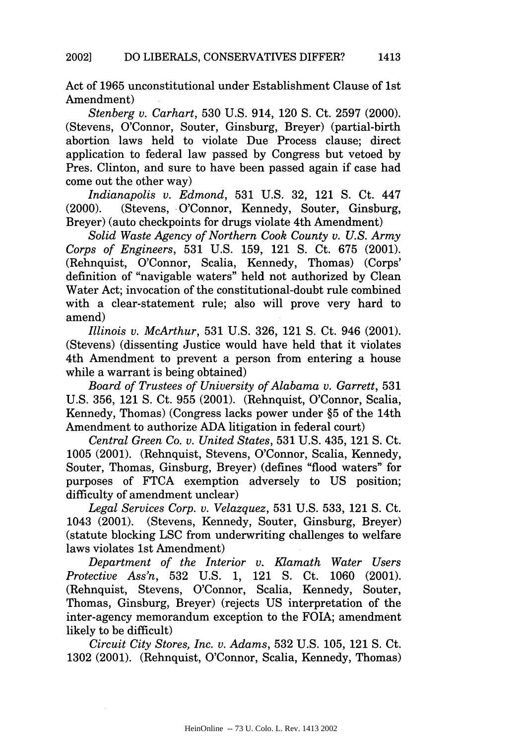Act of 1965 unconstitutional under Establishment Clause of 1st Amendment)

*Stenberg v. Carhart,* 530 U.S. 914, 120 **S.** Ct. 2597 (2000). (Stevens, O'Connor, Souter, Ginsburg, Breyer) (partial-birth abortion laws held to violate Due Process clause; direct application to federal law passed by Congress but vetoed by Pres. Clinton, and sure to have been passed again if case had come out the other way)

*Indianapolis v. Edmond,* 531 U.S. 32, 121 S. Ct. 447 (2000). (Stevens, O'Connor, Kennedy, Souter, Ginsburg, Breyer) (auto checkpoints for drugs violate 4th Amendment)

*Solid Waste Agency of Northern Cook County v. U.S. Army Corps of Engineers,* 531 U.S. 159, 121 **S.** Ct. 675 (2001). (Rehnquist, O'Connor, Scalia, Kennedy, Thomas) (Corps' definition of "navigable waters" held not authorized by Clean Water Act; invocation of the constitutional-doubt rule combined with a clear-statement rule; also will prove very hard to amend)

*Illinois v. McArthur,* 531 U.S. 326, 121 S. Ct. 946 (2001). (Stevens) (dissenting Justice would have held that it violates 4th Amendment to prevent a person from entering a house while a warrant is being obtained)

*Board of Trustees of University of Alabama v. Garrett,* 531 U.S. 356, 121 S. Ct. 955 (2001). (Rehnquist, O'Connor, Scalia, Kennedy, Thomas) (Congress lacks power under §5 of the 14th Amendment to authorize ADA litigation in federal court)

*Central Green Co. v. United States,* 531 U.S. 435, 121 **S.** Ct. 1005 (2001). (Rehnquist, Stevens, O'Connor, Scalia, Kennedy, Souter, Thomas, Ginsburg, Breyer) (defines "flood waters" for purposes of FTCA exemption adversely to US position; difficulty of amendment unclear)

*Legal Services Corp. v. Velazquez,* 531 U.S. 533, 121 **S.** Ct. 1043 (2001). (Stevens, Kennedy, Souter, Ginsburg, Breyer) (statute blocking LSC from underwriting challenges to welfare laws violates 1st Amendment)

*Department of the Interior v. Klamath Water Users Protective Ass'n,* 532 U.S. 1, 121 **S.** Ct. 1060 (2001). (Rehnquist, Stevens, O'Connor, Scalia, Kennedy, Souter, Thomas, Ginsburg, Breyer) (rejects US interpretation of the inter-agency memorandum exception to the FOIA; amendment likely to be difficult)

*Circuit City Stores, Inc. v. Adams,* 532 U.S. 105, 121 **S.** Ct. 1302 (2001). (Rehnquist, O'Connor, Scalia, Kennedy, Thomas)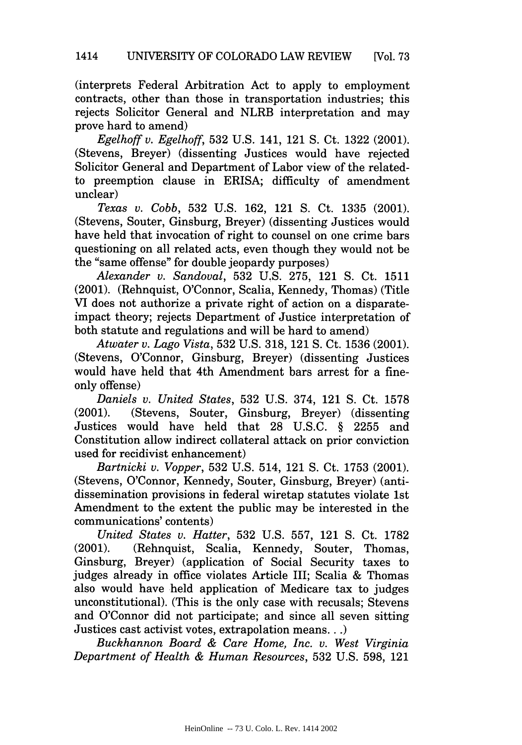(interprets Federal Arbitration Act to apply to employment contracts, other than those in transportation industries; this rejects Solicitor General and NLRB interpretation and may prove hard to amend)

*Egelhoff v. Egelhoff,* 532 U.S. 141, 121 S. Ct. 1322 (2001). (Stevens, Breyer) (dissenting Justices would have rejected Solicitor General and Department of Labor view of the relatedto preemption clause in ERISA; difficulty of amendment unclear)

*Texas v. Cobb,* 532 U.S. 162, 121 **S.** Ct. 1335 (2001). (Stevens, Souter, Ginsburg, Breyer) (dissenting Justices would have held that invocation of right to counsel on one crime bars questioning on all related acts, even though they would not be the "same offense" for double jeopardy purposes)

*Alexander v. Sandoval,* 532 U.S. 275, 121 **S.** Ct. 1511 (2001). (Rehnquist, O'Connor, Scalia, Kennedy, Thomas) (Title VI does not authorize a private right of action on a disparateimpact theory; rejects Department of Justice interpretation of both statute and regulations and will be hard to amend)

*Atwater v. Lago Vista,* 532 U.S. 318, 121 **S.** Ct. 1536 (2001). (Stevens, O'Connor, Ginsburg, Breyer) (dissenting Justices would have held that 4th Amendment bars arrest for a fineonly offense)

*Daniels v. United States,* 532 U.S. 374, 121 **S.** Ct. 1578 (2001). (Stevens, Souter, Ginsburg, Breyer) (dissenting Justices would have held that 28 U.S.C. § 2255 and Constitution allow indirect collateral attack on prior conviction used for recidivist enhancement)

*Bartnicki v. Vopper,* 532 U.S. 514, 121 **S.** Ct. 1753 (2001). (Stevens, O'Connor, Kennedy, Souter, Ginsburg, Breyer) (antidissemination provisions in federal wiretap statutes violate 1st Amendment to the extent the public may be interested in the communications' contents)

*United States v. Hatter,* 532 U.S. 557, 121 **S.** Ct. 1782 (2001). (Rehnquist, Scalia, Kennedy, Souter, Thomas, Ginsburg, Breyer) (application of Social Security taxes to judges already in office violates Article III; Scalia & Thomas also would have held application of Medicare tax to judges unconstitutional). (This is the only case with recusals; Stevens and O'Connor did not participate; and since all seven sitting Justices cast activist votes, extrapolation means...)

*Buckhannon Board & Care Home, Inc. v. West Virginia Department of Health & Human Resources,* 532 U.S. 598, 121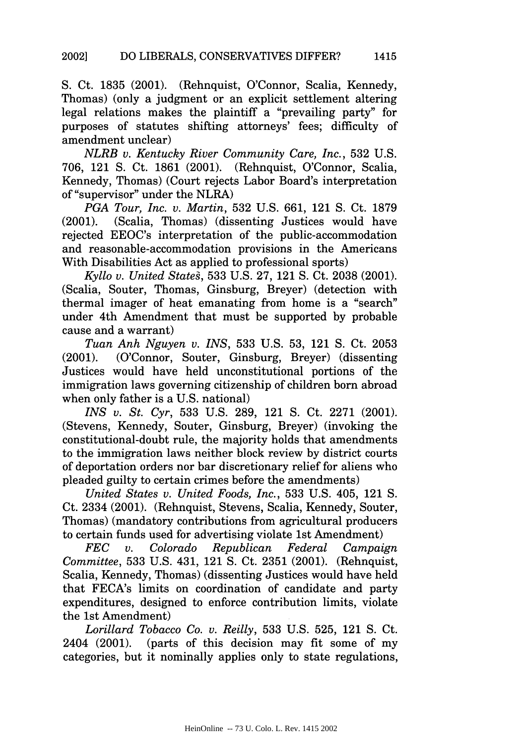S. Ct. 1835 (2001). (Rehnquist, O'Connor, Scalia, Kennedy, Thomas) (only a judgment or an explicit settlement altering legal relations makes the plaintiff a "prevailing party" for purposes of statutes shifting attorneys' fees; difficulty of amendment unclear)

*NLRB v. Kentucky River Community Care, Inc.,* 532 U.S. 706, 121 S. Ct. 1861 (2001). (Rehnquist, O'Connor, Scalia, Kennedy, Thomas) (Court rejects Labor Board's interpretation of "supervisor" under the NLRA)

*PGA Tour, Inc. v. Martin,* 532 U.S. 661, 121 S. Ct. 1879 (2001). (Scalia, Thomas) (dissenting Justices would have rejected EEOC's interpretation of the public-accommodation and reasonable-accommodation provisions in the Americans With Disabilities Act as applied to professional sports)

*Kyllo v. United Stateg,* 533 U.S. 27, 121 **S.** Ct. 2038 (2001). (Scalia, Souter, Thomas, Ginsburg, Breyer) (detection with thermal imager of heat emanating from home is a "search" under 4th Amendment that must be supported by probable cause and a warrant)

*Tuan Anh Nguyen v. INS,* 533 U.S. 53, 121 **S.** Ct. 2053 (2001). (O'Connor, Souter, Ginsburg, Breyer) (dissenting Justices would have held unconstitutional portions of the immigration laws governing citizenship of children born abroad when only father is a U.S. national)

*INS v. St. Cyr,* 533 U.S. 289, 121 S. Ct. 2271 (2001). (Stevens, Kennedy, Souter, Ginsburg, Breyer) (invoking the constitutional-doubt rule, the majority holds that amendments to the immigration laws neither block review by district courts of deportation orders nor bar discretionary relief for aliens who pleaded guilty to certain crimes before the amendments)

*United States v. United Foods, Inc.,* 533 U.S. 405, 121 **S.** Ct. 2334 (2001). (Rehnquist, Stevens, Scalia, Kennedy, Souter, Thomas) (mandatory contributions from agricultural producers to certain funds used for advertising violate 1st Amendment)

*FEC v. Colorado Republican Federal Campaign Committee,* 533 U.S. 431, 121 **S.** Ct. 2351 (2001). (Rehnquist, Scalia, Kennedy, Thomas) (dissenting Justices would have held that FECA's limits on coordination of candidate and party expenditures, designed to enforce contribution limits, violate the 1st Amendment)

*Lorillard Tobacco Co. v. Reilly,* 533 U.S. 525, 121 **S.** Ct. 2404 (2001). (parts of this decision may fit some of my categories, but it nominally applies only to state regulations,